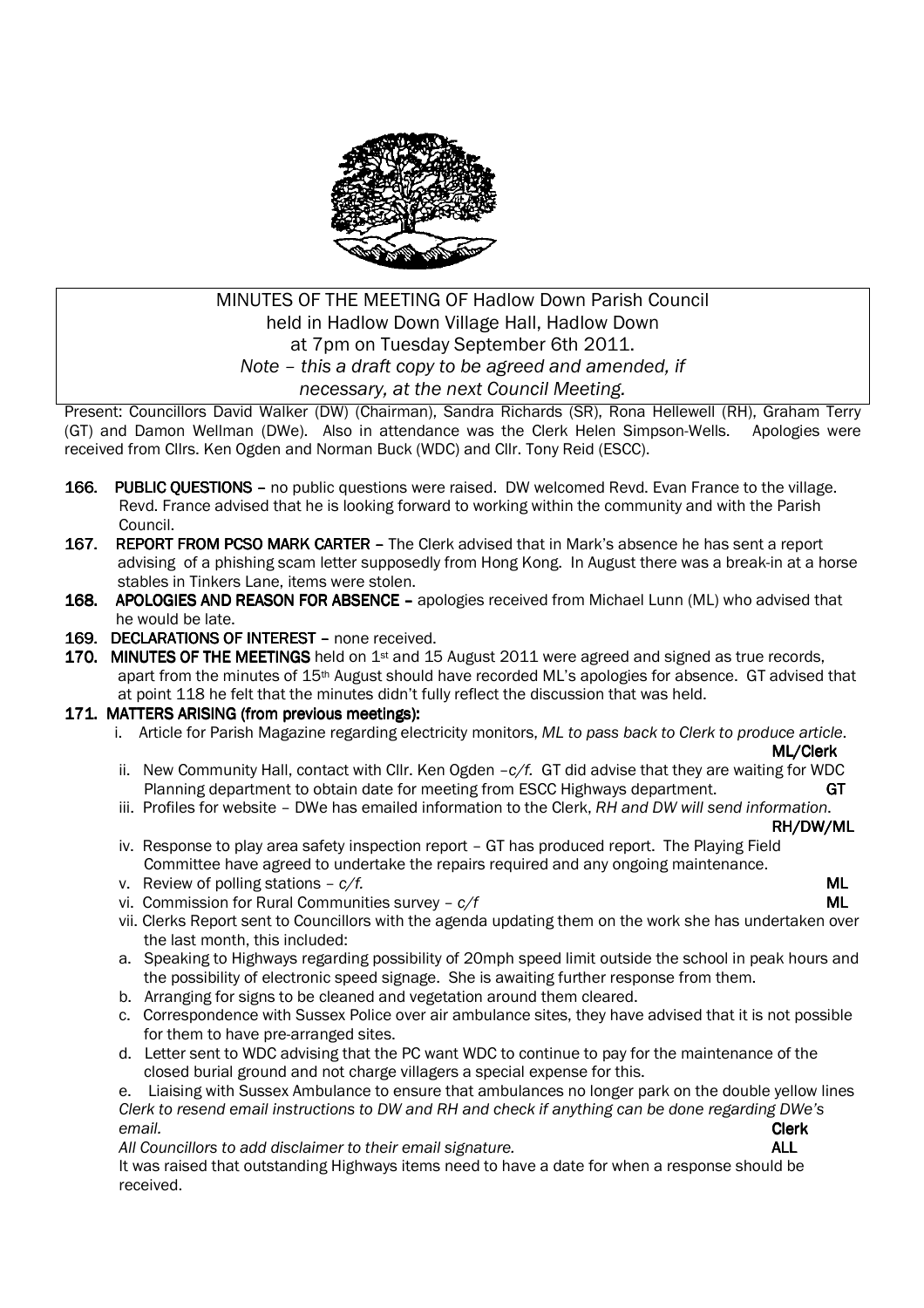

# MINUTES OF THE MEETING OF Hadlow Down Parish Council held in Hadlow Down Village Hall, Hadlow Down at 7pm on Tuesday September 6th 2011. *Note – this a draft copy to be agreed and amended, if necessary, at the next Council Meeting.*

Present: Councillors David Walker (DW) (Chairman), Sandra Richards (SR), Rona Hellewell (RH), Graham Terry (GT) and Damon Wellman (DWe). Also in attendance was the Clerk Helen Simpson-Wells. Apologies were received from Cllrs. Ken Ogden and Norman Buck (WDC) and Cllr. Tony Reid (ESCC).

- 166. PUBLIC OUESTIONS no public questions were raised. DW welcomed Revd. Evan France to the village. Revd. France advised that he is looking forward to working within the community and with the Parish Council.
- 167. REPORT FROM PCSO MARK CARTER The Clerk advised that in Mark's absence he has sent a report advising of a phishing scam letter supposedly from Hong Kong. In August there was a break-in at a horse stables in Tinkers Lane, items were stolen.
- 168. APOLOGIES AND REASON FOR ABSENCE apologies received from Michael Lunn (ML) who advised that he would be late.
- 169. DECLARATIONS OF INTEREST none received.
- 170. MINUTES OF THE MEETINGS held on  $1st$  and 15 August 2011 were agreed and signed as true records, apart from the minutes of 15th August should have recorded ML's apologies for absence. GT advised that at point 118 he felt that the minutes didn't fully reflect the discussion that was held.

### 171. MATTERS ARISING (from previous meetings):

i. Article for Parish Magazine regarding electricity monitors, *ML to pass back to Clerk to produce article*.

 $\mathsf{ML}/\mathsf{C}$ lerk  $\mathsf{ML}/\mathsf{C}$ lerk

- ii. New Community Hall, contact with Cllr. Ken Ogden –*c/f.* GT did advise that they are waiting for WDC Planning department to obtain date for meeting from ESCC Highways department. GT
- iii. Profiles for website DWe has emailed information to the Clerk, *RH and DW will send information*.

RH/DW/ML RH/DW/ML

- iv. Response to play area safety inspection report GT has produced report. The Playing Field Committee have agreed to undertake the repairs required and any ongoing maintenance.
- v. Review of polling stations  $-\frac{c}{f}$ . ML
- vi. Commission for Rural Communities survey  $c/f$  ML
- vii. Clerks Report sent to Councillors with the agenda updating them on the work she has undertaken over the last month, this included:
- a. Speaking to Highways regarding possibility of 20mph speed limit outside the school in peak hours and the possibility of electronic speed signage. She is awaiting further response from them.
- b. Arranging for signs to be cleaned and vegetation around them cleared.
- c. Correspondence with Sussex Police over air ambulance sites, they have advised that it is not possible for them to have pre-arranged sites.
- d. Letter sent to WDC advising that the PC want WDC to continue to pay for the maintenance of the closed burial ground and not charge villagers a special expense for this.

e. Liaising with Sussex Ambulance to ensure that ambulances no longer park on the double yellow lines *Clerk to resend email instructions to DW and RH and check if anything can be done regarding DWe's email.* Clerk

*All Councillors to add disclaimer to their email signature.* ALL

It was raised that outstanding Highways items need to have a date for when a response should be received.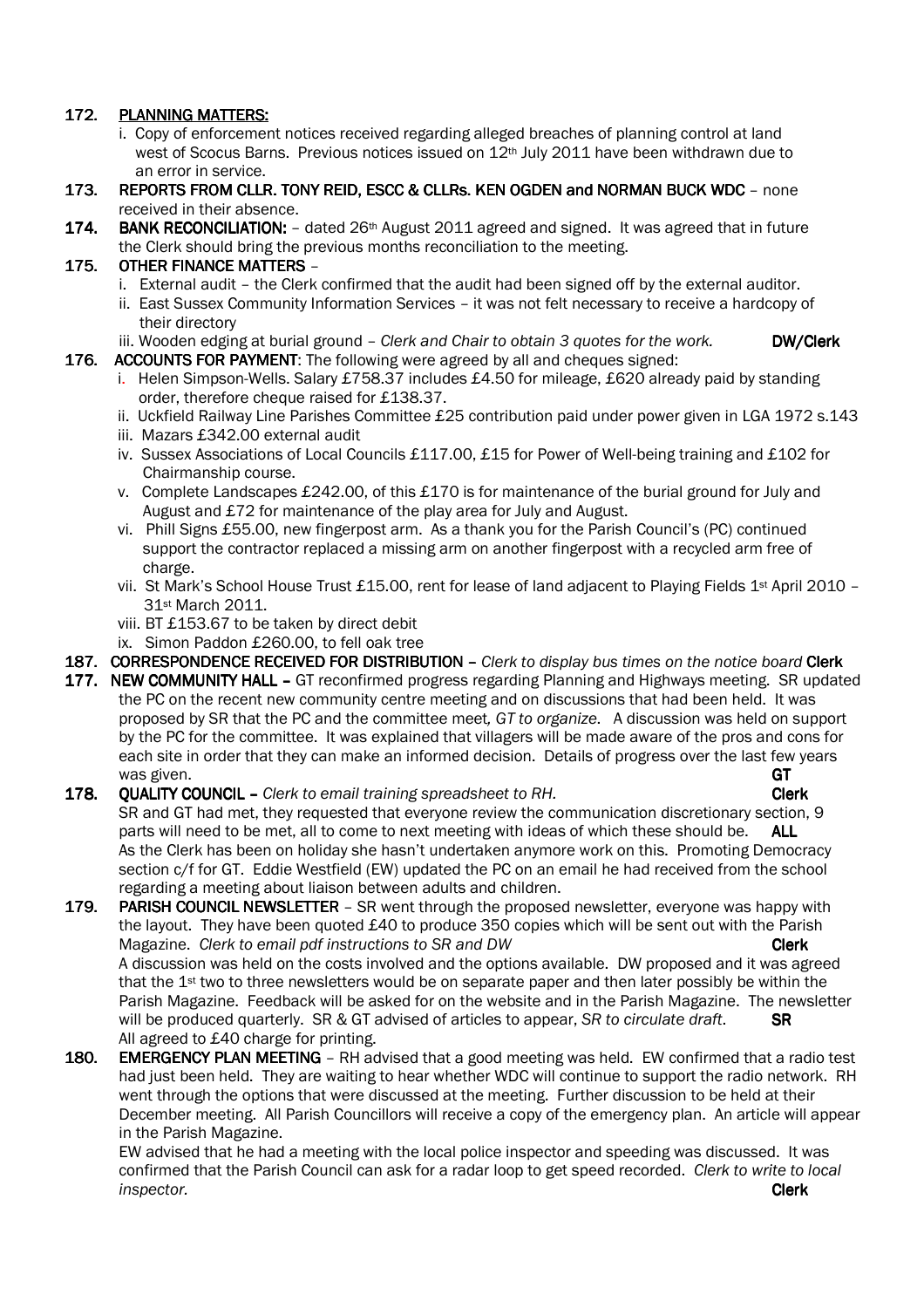## 172. PLANNING MATTERS:

- i. Copy of enforcement notices received regarding alleged breaches of planning control at land west of Scocus Barns. Previous notices issued on 12<sup>th</sup> July 2011 have been withdrawn due to an error in service.
- 173. REPORTS FROM CLLR. TONY REID. ESCC & CLLRS. KEN OGDEN and NORMAN BUCK WDC none received in their absence.
- 174. BANK RECONCILIATION: dated 26<sup>th</sup> August 2011 agreed and signed. It was agreed that in future the Clerk should bring the previous months reconciliation to the meeting.

### 175. OTHER FINANCE MATTERS –

- i. External audit the Clerk confirmed that the audit had been signed off by the external auditor.
- ii. East Sussex Community Information Services it was not felt necessary to receive a hardcopy of their directory
- iii. Wooden edging at burial ground *Clerk and Chair to obtain 3 quotes for the work*. **DW/Clerk**
- 176. ACCOUNTS FOR PAYMENT: The following were agreed by all and cheques signed:
	- i. Helen Simpson-Wells. Salary £758.37 includes £4.50 for mileage, £620 already paid by standing order, therefore cheque raised for £138.37.
	- ii. Uckfield Railway Line Parishes Committee £25 contribution paid under power given in LGA 1972 s.143
	- iii. Mazars £342.00 external audit
	- iv. Sussex Associations of Local Councils £117.00, £15 for Power of Well-being training and £102 for Chairmanship course.
	- v. Complete Landscapes £242.00, of this £170 is for maintenance of the burial ground for July and August and £72 for maintenance of the play area for July and August.
	- vi. Phill Signs £55.00, new fingerpost arm. As a thank you for the Parish Council's (PC) continued support the contractor replaced a missing arm on another fingerpost with a recycled arm free of charge.
	- vii. St Mark's School House Trust £15.00, rent for lease of land adjacent to Playing Fields 1<sup>st</sup> April 2010 -31st March 2011.
	- viii. BT £153.67 to be taken by direct debit
	- ix. Simon Paddon £260.00, to fell oak tree
- 187. CORRESPONDENCE RECEIVED FOR DISTRIBUTION Clerk to display bus times on the notice board Clerk
- 177. NEW COMMUNITY HALL GT reconfirmed progress regarding Planning and Highways meeting. SR updated the PC on the recent new community centre meeting and on discussions that had been held. It was proposed by SR that the PC and the committee meet*, GT to organize*. A discussion was held on support by the PC for the committee. It was explained that villagers will be made aware of the pros and cons for each site in order that they can make an informed decision. Details of progress over the last few years was given. GT the contract of the contract of the contract of the contract of the contract of the contract of  $\mathsf{GT}$

### 178. OUALITY COUNCIL – *Clerk to email training spreadsheet to RH.* **CLERK Clerk**  SR and GT had met, they requested that everyone review the communication discretionary section, 9 parts will need to be met, all to come to next meeting with ideas of which these should be. ALL As the Clerk has been on holiday she hasn't undertaken anymore work on this. Promoting Democracy section c/f for GT. Eddie Westfield (EW) updated the PC on an email he had received from the school regarding a meeting about liaison between adults and children.

- 179. PARISH COUNCIL NEWSLETTER SR went through the proposed newsletter, everyone was happy with the layout. They have been quoted £40 to produce 350 copies which will be sent out with the Parish Magazine. *Clerk to email pdf instructions to SR and DW* **Clerk Clerk** A discussion was held on the costs involved and the options available. DW proposed and it was agreed that the 1st two to three newsletters would be on separate paper and then later possibly be within the Parish Magazine. Feedback will be asked for on the website and in the Parish Magazine. The newsletter will be produced quarterly. SR & GT advised of articles to appear, *SR to circulate draft*. SR All agreed to £40 charge for printing.
- 180. EMERGENCY PLAN MEETING RH advised that a good meeting was held. EW confirmed that a radio test had just been held. They are waiting to hear whether WDC will continue to support the radio network. RH went through the options that were discussed at the meeting. Further discussion to be held at their December meeting. All Parish Councillors will receive a copy of the emergency plan. An article will appear in the Parish Magazine.

EW advised that he had a meeting with the local police inspector and speeding was discussed. It was confirmed that the Parish Council can ask for a radar loop to get speed recorded. *Clerk to write to local inspector.* Clerk